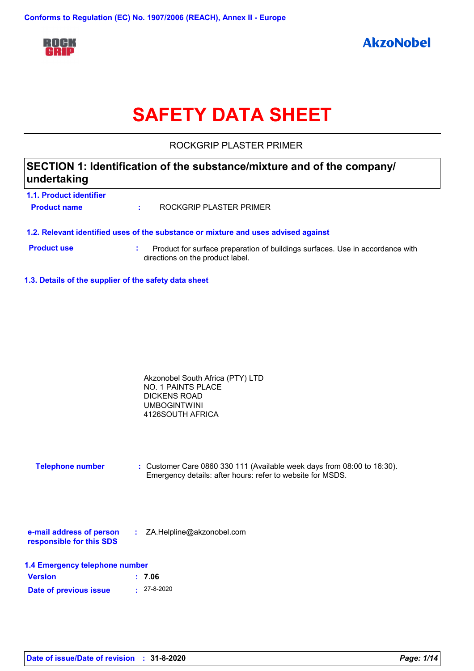

# **SAFETY DATA SHEET**

ROCKGRIP PLASTER PRIMER

### **SECTION 1: Identification of the substance/mixture and of the company/ undertaking**

| 1.1. Product identifier |                         |
|-------------------------|-------------------------|
| <b>Product name</b>     | ROCKGRIP PLASTER PRIMER |

- **1.2. Relevant identified uses of the substance or mixture and uses advised against**
- 
- **Product use <b>:** Product for surface preparation of buildings surfaces. Use in accordance with directions on the product label.
- **1.3. Details of the supplier of the safety data sheet**

| Akzonobel South Africa (PTY) LTD |  |
|----------------------------------|--|
| NO. 1 PAINTS PLACE               |  |
| DICKENS ROAD                     |  |
| <b>UMBOGINTWINI</b>              |  |
| 4126SOUTH AFRICA                 |  |

**Telephone number :** Customer Care 0860 330 111 (Available week days from 08:00 to 16:30). Emergency details: after hours: refer to website for MSDS.

| e-mail address of person | ZA.Helpline@akzonobel.com |  |
|--------------------------|---------------------------|--|
| responsible for this SDS |                           |  |

|  | 1.4 Emergency telephone number |  |  |  |
|--|--------------------------------|--|--|--|
|--|--------------------------------|--|--|--|

| <b>Version</b>         | : 7.06            |
|------------------------|-------------------|
| Date of previous issue | $: 27 - 8 - 2020$ |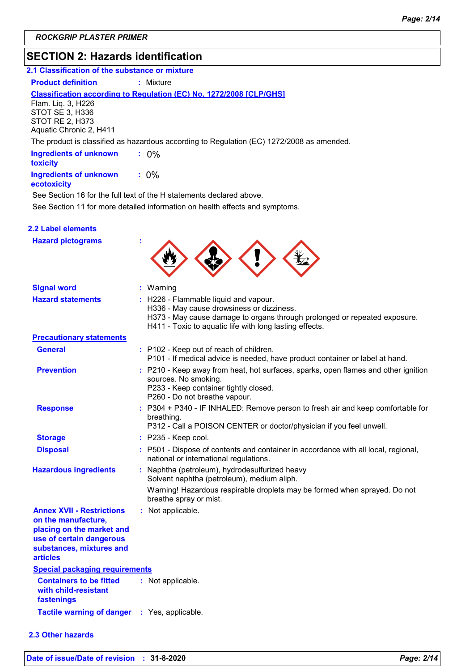### **SECTION 2: Hazards identification**

### **2.1 Classification of the substance or mixture**

**Product definition : Mixture** 

#### **Classification according to Regulation (EC) No. 1272/2008 [CLP/GHS]**

Flam. Liq. 3, H226 STOT SE 3, H336 STOT RE 2, H373 Aquatic Chronic 2, H411

The product is classified as hazardous according to Regulation (EC) 1272/2008 as amended.

| <b>Ingredients of unknown</b><br>toxicity |         |
|-------------------------------------------|---------|
| <b>Ingredients of unknown</b>             | $: 0\%$ |

#### **ecotoxicity**

See Section 11 for more detailed information on health effects and symptoms. See Section 16 for the full text of the H statements declared above.

|  | <b>2.2 Label elements</b> |  |
|--|---------------------------|--|
|  |                           |  |

| <b>Hazard pictograms</b>                                                                                                                                        |                                                                                                                                                                                                                            |
|-----------------------------------------------------------------------------------------------------------------------------------------------------------------|----------------------------------------------------------------------------------------------------------------------------------------------------------------------------------------------------------------------------|
| <b>Signal word</b>                                                                                                                                              | : Warning                                                                                                                                                                                                                  |
| <b>Hazard statements</b>                                                                                                                                        | : H226 - Flammable liquid and vapour.<br>H336 - May cause drowsiness or dizziness.<br>H373 - May cause damage to organs through prolonged or repeated exposure.<br>H411 - Toxic to aquatic life with long lasting effects. |
| <b>Precautionary statements</b>                                                                                                                                 |                                                                                                                                                                                                                            |
| <b>General</b>                                                                                                                                                  | : P102 - Keep out of reach of children.<br>P101 - If medical advice is needed, have product container or label at hand.                                                                                                    |
| <b>Prevention</b>                                                                                                                                               | : P210 - Keep away from heat, hot surfaces, sparks, open flames and other ignition<br>sources. No smoking.<br>P233 - Keep container tightly closed.<br>P260 - Do not breathe vapour.                                       |
| <b>Response</b>                                                                                                                                                 | : P304 + P340 - IF INHALED: Remove person to fresh air and keep comfortable for<br>breathing.<br>P312 - Call a POISON CENTER or doctor/physician if you feel unwell.                                                       |
| <b>Storage</b>                                                                                                                                                  | : P235 - Keep cool.                                                                                                                                                                                                        |
| <b>Disposal</b>                                                                                                                                                 | : P501 - Dispose of contents and container in accordance with all local, regional,<br>national or international regulations.                                                                                               |
| <b>Hazardous ingredients</b>                                                                                                                                    | : Naphtha (petroleum), hydrodesulfurized heavy<br>Solvent naphtha (petroleum), medium aliph.                                                                                                                               |
|                                                                                                                                                                 | Warning! Hazardous respirable droplets may be formed when sprayed. Do not<br>breathe spray or mist.                                                                                                                        |
| <b>Annex XVII - Restrictions</b><br>on the manufacture,<br>placing on the market and<br>use of certain dangerous<br>substances, mixtures and<br><b>articles</b> | : Not applicable.                                                                                                                                                                                                          |
| <b>Special packaging requirements</b>                                                                                                                           |                                                                                                                                                                                                                            |
| <b>Containers to be fitted</b><br>with child-resistant<br>fastenings                                                                                            | : Not applicable.                                                                                                                                                                                                          |
| <b>Tactile warning of danger</b>                                                                                                                                | : Yes, applicable.                                                                                                                                                                                                         |

### **2.3 Other hazards**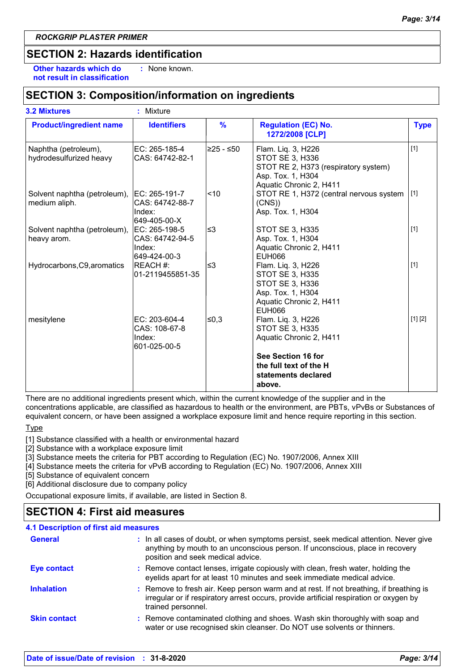### **SECTION 2: Hazards identification**

**Other hazards which do : not result in classification** : None known.

### **SECTION 3: Composition/information on ingredients**

| <b>Product/ingredient name</b>                  | <b>Identifiers</b>                                          | $\%$        | <b>Regulation (EC) No.</b><br>1272/2008 [CLP]                                                                                 | <b>Type</b> |
|-------------------------------------------------|-------------------------------------------------------------|-------------|-------------------------------------------------------------------------------------------------------------------------------|-------------|
| Naphtha (petroleum),<br>hydrodesulfurized heavy | EC: 265-185-4<br>CAS: 64742-82-1                            | l≥25 - ≤50∶ | Flam. Liq. 3, H226<br>STOT SE 3, H336<br>STOT RE 2, H373 (respiratory system)<br>Asp. Tox. 1, H304<br>Aquatic Chronic 2, H411 | $[1]$       |
| Solvent naphtha (petroleum),<br>medium aliph.   | EC: 265-191-7<br>ICAS: 64742-88-7<br>Index:<br>649-405-00-X | $ $ < 10    | STOT RE 1, H372 (central nervous system<br>(CNS)<br>Asp. Tox. 1, H304                                                         | $[1]$       |
| Solvent naphtha (petroleum),<br>heavy arom.     | EC: 265-198-5<br>CAS: 64742-94-5<br>Index:<br>649-424-00-3  | l≤3         | STOT SE 3, H335<br>Asp. Tox. 1, H304<br>Aquatic Chronic 2, H411<br><b>EUH066</b>                                              | $[1]$       |
| Hydrocarbons, C9, aromatics                     | REACH #:<br>01-2119455851-35                                | l≤3         | Flam. Lig. 3, H226<br>STOT SE 3, H335<br>STOT SE 3, H336<br>Asp. Tox. 1, H304<br>Aquatic Chronic 2, H411<br><b>EUH066</b>     | $[1]$       |
| mesitylene                                      | EC: 203-604-4<br>CAS: 108-67-8<br>Index:<br>601-025-00-5    | ≤0,3        | Flam. Liq. 3, H226<br>STOT SE 3, H335<br>Aquatic Chronic 2, H411                                                              | [1] [2]     |
|                                                 |                                                             |             | See Section 16 for<br>the full text of the H<br>statements declared<br>above.                                                 |             |

There are no additional ingredients present which, within the current knowledge of the supplier and in the concentrations applicable, are classified as hazardous to health or the environment, are PBTs, vPvBs or Substances of equivalent concern, or have been assigned a workplace exposure limit and hence require reporting in this section.

**Type** 

[1] Substance classified with a health or environmental hazard

[2] Substance with a workplace exposure limit

[3] Substance meets the criteria for PBT according to Regulation (EC) No. 1907/2006, Annex XIII

[4] Substance meets the criteria for vPvB according to Regulation (EC) No. 1907/2006, Annex XIII

[5] Substance of equivalent concern

[6] Additional disclosure due to company policy

Occupational exposure limits, if available, are listed in Section 8.

### **SECTION 4: First aid measures**

| <b>4.1 Description of first aid measures</b> |                                                                                                                                                                                                             |
|----------------------------------------------|-------------------------------------------------------------------------------------------------------------------------------------------------------------------------------------------------------------|
| <b>General</b>                               | : In all cases of doubt, or when symptoms persist, seek medical attention. Never give<br>anything by mouth to an unconscious person. If unconscious, place in recovery<br>position and seek medical advice. |
| <b>Eye contact</b>                           | : Remove contact lenses, irrigate copiously with clean, fresh water, holding the<br>eyelids apart for at least 10 minutes and seek immediate medical advice.                                                |
| <b>Inhalation</b>                            | : Remove to fresh air. Keep person warm and at rest. If not breathing, if breathing is<br>irregular or if respiratory arrest occurs, provide artificial respiration or oxygen by<br>trained personnel.      |
| <b>Skin contact</b>                          | : Remove contaminated clothing and shoes. Wash skin thoroughly with soap and<br>water or use recognised skin cleanser. Do NOT use solvents or thinners.                                                     |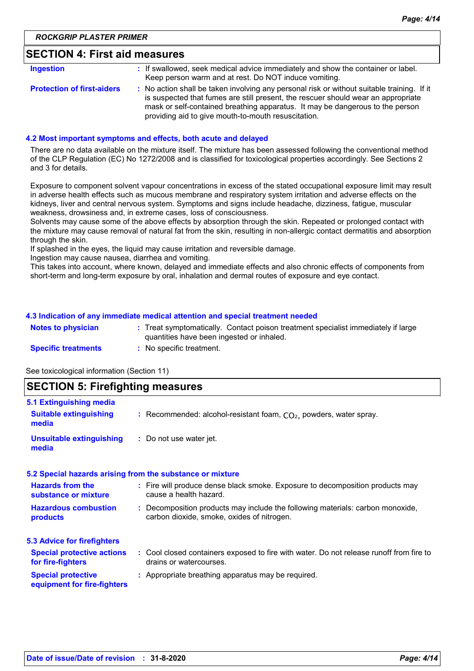### **SECTION 4: First aid measures**

| Ingestion                         | : If swallowed, seek medical advice immediately and show the container or label.<br>Keep person warm and at rest. Do NOT induce vomiting.                                                                                                                                                                               |
|-----------------------------------|-------------------------------------------------------------------------------------------------------------------------------------------------------------------------------------------------------------------------------------------------------------------------------------------------------------------------|
| <b>Protection of first-aiders</b> | : No action shall be taken involving any personal risk or without suitable training. If it<br>is suspected that fumes are still present, the rescuer should wear an appropriate<br>mask or self-contained breathing apparatus. It may be dangerous to the person<br>providing aid to give mouth-to-mouth resuscitation. |

#### **4.2 Most important symptoms and effects, both acute and delayed**

There are no data available on the mixture itself. The mixture has been assessed following the conventional method of the CLP Regulation (EC) No 1272/2008 and is classified for toxicological properties accordingly. See Sections 2 and 3 for details.

Exposure to component solvent vapour concentrations in excess of the stated occupational exposure limit may result in adverse health effects such as mucous membrane and respiratory system irritation and adverse effects on the kidneys, liver and central nervous system. Symptoms and signs include headache, dizziness, fatigue, muscular weakness, drowsiness and, in extreme cases, loss of consciousness.

Solvents may cause some of the above effects by absorption through the skin. Repeated or prolonged contact with the mixture may cause removal of natural fat from the skin, resulting in non-allergic contact dermatitis and absorption through the skin.

If splashed in the eyes, the liquid may cause irritation and reversible damage.

Ingestion may cause nausea, diarrhea and vomiting.

This takes into account, where known, delayed and immediate effects and also chronic effects of components from short-term and long-term exposure by oral, inhalation and dermal routes of exposure and eye contact.

#### **4.3 Indication of any immediate medical attention and special treatment needed**

| <b>Notes to physician</b>  | Treat symptomatically. Contact poison treatment specialist immediately if large<br>quantities have been ingested or inhaled. |
|----------------------------|------------------------------------------------------------------------------------------------------------------------------|
| <b>Specific treatments</b> | No specific treatment.                                                                                                       |

See toxicological information (Section 11)

**media**

### **SECTION 5: Firefighting measures** Recommended: alcohol-resistant foam, CO₂, powders, water spray. **: 5.1 Extinguishing media Suitable extinguishing**

| <b>Unsuitable extinguishing</b> | : Do not use water jet. |
|---------------------------------|-------------------------|
| media                           |                         |

#### **Hazardous combustion products Hazards from the substance or mixture Special protective equipment for fire-fighters :** Fire will produce dense black smoke. Exposure to decomposition products may **:** Decomposition products may include the following materials: carbon monoxide, **:** Appropriate breathing apparatus may be required. **5.2 Special hazards arising from the substance or mixture 5.3 Advice for firefighters Special protective actions for fire-fighters :** Cool closed containers exposed to fire with water. Do not release runoff from fire to cause a health hazard. drains or watercourses. carbon dioxide, smoke, oxides of nitrogen.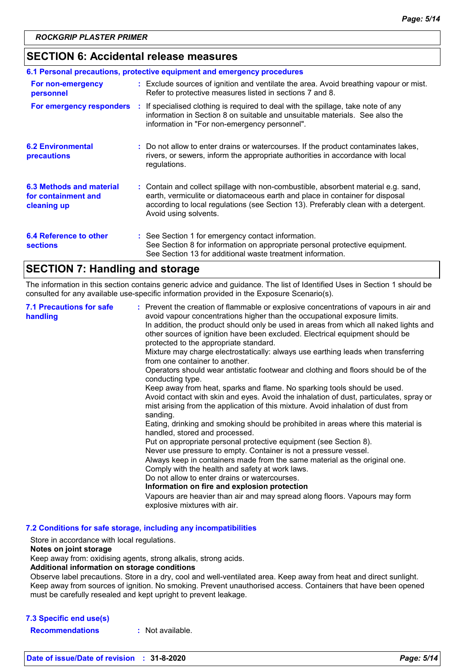### **SECTION 6: Accidental release measures**

|                                                                | 6.1 Personal precautions, protective equipment and emergency procedures                                                                                                                                                                                                            |
|----------------------------------------------------------------|------------------------------------------------------------------------------------------------------------------------------------------------------------------------------------------------------------------------------------------------------------------------------------|
| For non-emergency<br>personnel                                 | : Exclude sources of ignition and ventilate the area. Avoid breathing vapour or mist.<br>Refer to protective measures listed in sections 7 and 8.                                                                                                                                  |
| For emergency responders                                       | : If specialised clothing is required to deal with the spillage, take note of any<br>information in Section 8 on suitable and unsuitable materials. See also the<br>information in "For non-emergency personnel".                                                                  |
| <b>6.2 Environmental</b><br>precautions                        | : Do not allow to enter drains or watercourses. If the product contaminates lakes,<br>rivers, or sewers, inform the appropriate authorities in accordance with local<br>regulations.                                                                                               |
| 6.3 Methods and material<br>for containment and<br>cleaning up | : Contain and collect spillage with non-combustible, absorbent material e.g. sand,<br>earth, vermiculite or diatomaceous earth and place in container for disposal<br>according to local regulations (see Section 13). Preferably clean with a detergent.<br>Avoid using solvents. |
| 6.4 Reference to other<br><b>sections</b>                      | : See Section 1 for emergency contact information.<br>See Section 8 for information on appropriate personal protective equipment.<br>See Section 13 for additional waste treatment information.                                                                                    |

### **SECTION 7: Handling and storage**

The information in this section contains generic advice and guidance. The list of Identified Uses in Section 1 should be consulted for any available use-specific information provided in the Exposure Scenario(s).

| <b>7.1 Precautions for safe</b><br>handling | : Prevent the creation of flammable or explosive concentrations of vapours in air and<br>avoid vapour concentrations higher than the occupational exposure limits.<br>In addition, the product should only be used in areas from which all naked lights and<br>other sources of ignition have been excluded. Electrical equipment should be<br>protected to the appropriate standard.<br>Mixture may charge electrostatically: always use earthing leads when transferring<br>from one container to another.<br>Operators should wear antistatic footwear and clothing and floors should be of the<br>conducting type.<br>Keep away from heat, sparks and flame. No sparking tools should be used.<br>Avoid contact with skin and eyes. Avoid the inhalation of dust, particulates, spray or<br>mist arising from the application of this mixture. Avoid inhalation of dust from<br>sanding.<br>Eating, drinking and smoking should be prohibited in areas where this material is<br>handled, stored and processed.<br>Put on appropriate personal protective equipment (see Section 8).<br>Never use pressure to empty. Container is not a pressure vessel.<br>Always keep in containers made from the same material as the original one.<br>Comply with the health and safety at work laws.<br>Do not allow to enter drains or watercourses.<br>Information on fire and explosion protection<br>Vapours are heavier than air and may spread along floors. Vapours may form<br>explosive mixtures with air. |
|---------------------------------------------|--------------------------------------------------------------------------------------------------------------------------------------------------------------------------------------------------------------------------------------------------------------------------------------------------------------------------------------------------------------------------------------------------------------------------------------------------------------------------------------------------------------------------------------------------------------------------------------------------------------------------------------------------------------------------------------------------------------------------------------------------------------------------------------------------------------------------------------------------------------------------------------------------------------------------------------------------------------------------------------------------------------------------------------------------------------------------------------------------------------------------------------------------------------------------------------------------------------------------------------------------------------------------------------------------------------------------------------------------------------------------------------------------------------------------------------------------------------------------------------------------------------|
|---------------------------------------------|--------------------------------------------------------------------------------------------------------------------------------------------------------------------------------------------------------------------------------------------------------------------------------------------------------------------------------------------------------------------------------------------------------------------------------------------------------------------------------------------------------------------------------------------------------------------------------------------------------------------------------------------------------------------------------------------------------------------------------------------------------------------------------------------------------------------------------------------------------------------------------------------------------------------------------------------------------------------------------------------------------------------------------------------------------------------------------------------------------------------------------------------------------------------------------------------------------------------------------------------------------------------------------------------------------------------------------------------------------------------------------------------------------------------------------------------------------------------------------------------------------------|

**7.2 Conditions for safe storage, including any incompatibilities**

Store in accordance with local regulations.

### **Notes on joint storage**

Keep away from: oxidising agents, strong alkalis, strong acids.

#### **Additional information on storage conditions**

Observe label precautions. Store in a dry, cool and well-ventilated area. Keep away from heat and direct sunlight. Keep away from sources of ignition. No smoking. Prevent unauthorised access. Containers that have been opened must be carefully resealed and kept upright to prevent leakage.

### **7.3 Specific end use(s)**

**Recommendations :** Not available.

**Date of issue/Date of revision : 31-8-2020** *Page: 5/14*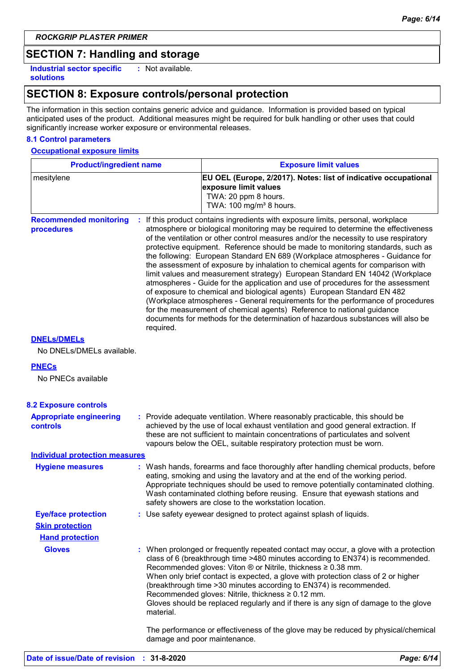### **SECTION 7: Handling and storage**

**Industrial sector specific : solutions**

: Not available.

### **SECTION 8: Exposure controls/personal protection**

The information in this section contains generic advice and guidance. Information is provided based on typical anticipated uses of the product. Additional measures might be required for bulk handling or other uses that could significantly increase worker exposure or environmental releases.

### **8.1 Control parameters**

#### **Occupational exposure limits**

| <b>Product/ingredient name</b>                    |                                                                                                                                                                                                                                                                                                                                                                                                                                                                                                                                                                                                                                                                                                                                                                                                                                                                                                                                                                                                                                    | <b>Exposure limit values</b>                                                                                                                                                                                                                                                                                                                                                                                                                                                                                                                        |  |
|---------------------------------------------------|------------------------------------------------------------------------------------------------------------------------------------------------------------------------------------------------------------------------------------------------------------------------------------------------------------------------------------------------------------------------------------------------------------------------------------------------------------------------------------------------------------------------------------------------------------------------------------------------------------------------------------------------------------------------------------------------------------------------------------------------------------------------------------------------------------------------------------------------------------------------------------------------------------------------------------------------------------------------------------------------------------------------------------|-----------------------------------------------------------------------------------------------------------------------------------------------------------------------------------------------------------------------------------------------------------------------------------------------------------------------------------------------------------------------------------------------------------------------------------------------------------------------------------------------------------------------------------------------------|--|
| mesitylene                                        |                                                                                                                                                                                                                                                                                                                                                                                                                                                                                                                                                                                                                                                                                                                                                                                                                                                                                                                                                                                                                                    | EU OEL (Europe, 2/2017). Notes: list of indicative occupational<br>exposure limit values<br>TWA: 20 ppm 8 hours.<br>TWA: 100 mg/m <sup>3</sup> 8 hours.                                                                                                                                                                                                                                                                                                                                                                                             |  |
| <b>Recommended monitoring</b><br>procedures       | : If this product contains ingredients with exposure limits, personal, workplace<br>atmosphere or biological monitoring may be required to determine the effectiveness<br>of the ventilation or other control measures and/or the necessity to use respiratory<br>protective equipment. Reference should be made to monitoring standards, such as<br>the following: European Standard EN 689 (Workplace atmospheres - Guidance for<br>the assessment of exposure by inhalation to chemical agents for comparison with<br>limit values and measurement strategy) European Standard EN 14042 (Workplace<br>atmospheres - Guide for the application and use of procedures for the assessment<br>of exposure to chemical and biological agents) European Standard EN 482<br>(Workplace atmospheres - General requirements for the performance of procedures<br>for the measurement of chemical agents) Reference to national guidance<br>documents for methods for the determination of hazardous substances will also be<br>required. |                                                                                                                                                                                                                                                                                                                                                                                                                                                                                                                                                     |  |
| <b>DNELS/DMELS</b><br>No DNELs/DMELs available.   |                                                                                                                                                                                                                                                                                                                                                                                                                                                                                                                                                                                                                                                                                                                                                                                                                                                                                                                                                                                                                                    |                                                                                                                                                                                                                                                                                                                                                                                                                                                                                                                                                     |  |
| <b>PNECs</b>                                      |                                                                                                                                                                                                                                                                                                                                                                                                                                                                                                                                                                                                                                                                                                                                                                                                                                                                                                                                                                                                                                    |                                                                                                                                                                                                                                                                                                                                                                                                                                                                                                                                                     |  |
| No PNECs available                                |                                                                                                                                                                                                                                                                                                                                                                                                                                                                                                                                                                                                                                                                                                                                                                                                                                                                                                                                                                                                                                    |                                                                                                                                                                                                                                                                                                                                                                                                                                                                                                                                                     |  |
| <b>8.2 Exposure controls</b>                      |                                                                                                                                                                                                                                                                                                                                                                                                                                                                                                                                                                                                                                                                                                                                                                                                                                                                                                                                                                                                                                    |                                                                                                                                                                                                                                                                                                                                                                                                                                                                                                                                                     |  |
| <b>Appropriate engineering</b><br><b>controls</b> |                                                                                                                                                                                                                                                                                                                                                                                                                                                                                                                                                                                                                                                                                                                                                                                                                                                                                                                                                                                                                                    | : Provide adequate ventilation. Where reasonably practicable, this should be<br>achieved by the use of local exhaust ventilation and good general extraction. If<br>these are not sufficient to maintain concentrations of particulates and solvent<br>vapours below the OEL, suitable respiratory protection must be worn.                                                                                                                                                                                                                         |  |
| <b>Individual protection measures</b>             |                                                                                                                                                                                                                                                                                                                                                                                                                                                                                                                                                                                                                                                                                                                                                                                                                                                                                                                                                                                                                                    |                                                                                                                                                                                                                                                                                                                                                                                                                                                                                                                                                     |  |
| <b>Hygiene measures</b>                           |                                                                                                                                                                                                                                                                                                                                                                                                                                                                                                                                                                                                                                                                                                                                                                                                                                                                                                                                                                                                                                    | : Wash hands, forearms and face thoroughly after handling chemical products, before<br>eating, smoking and using the lavatory and at the end of the working period.<br>Appropriate techniques should be used to remove potentially contaminated clothing.<br>Wash contaminated clothing before reusing. Ensure that eyewash stations and<br>safety showers are close to the workstation location.                                                                                                                                                   |  |
| <b>Eye/face protection</b>                        |                                                                                                                                                                                                                                                                                                                                                                                                                                                                                                                                                                                                                                                                                                                                                                                                                                                                                                                                                                                                                                    | : Use safety eyewear designed to protect against splash of liquids.                                                                                                                                                                                                                                                                                                                                                                                                                                                                                 |  |
| <b>Skin protection</b>                            |                                                                                                                                                                                                                                                                                                                                                                                                                                                                                                                                                                                                                                                                                                                                                                                                                                                                                                                                                                                                                                    |                                                                                                                                                                                                                                                                                                                                                                                                                                                                                                                                                     |  |
| <b>Hand protection</b><br><b>Gloves</b>           | material.                                                                                                                                                                                                                                                                                                                                                                                                                                                                                                                                                                                                                                                                                                                                                                                                                                                                                                                                                                                                                          | : When prolonged or frequently repeated contact may occur, a glove with a protection<br>class of 6 (breakthrough time >480 minutes according to EN374) is recommended.<br>Recommended gloves: Viton ® or Nitrile, thickness ≥ 0.38 mm.<br>When only brief contact is expected, a glove with protection class of 2 or higher<br>(breakthrough time > 30 minutes according to EN374) is recommended.<br>Recommended gloves: Nitrile, thickness $\geq 0.12$ mm.<br>Gloves should be replaced regularly and if there is any sign of damage to the glove |  |
|                                                   |                                                                                                                                                                                                                                                                                                                                                                                                                                                                                                                                                                                                                                                                                                                                                                                                                                                                                                                                                                                                                                    | The performance or effectiveness of the glove may be reduced by physical/chemical<br>damage and poor maintenance.                                                                                                                                                                                                                                                                                                                                                                                                                                   |  |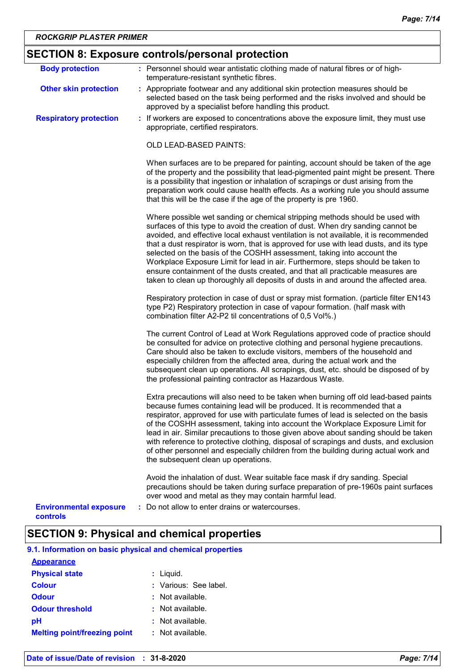| <b>Body protection</b>                    | : Personnel should wear antistatic clothing made of natural fibres or of high-                                                                                                                                                                                                                                                                                                                                                                                                                                                                                                                                                                                                          |
|-------------------------------------------|-----------------------------------------------------------------------------------------------------------------------------------------------------------------------------------------------------------------------------------------------------------------------------------------------------------------------------------------------------------------------------------------------------------------------------------------------------------------------------------------------------------------------------------------------------------------------------------------------------------------------------------------------------------------------------------------|
|                                           | temperature-resistant synthetic fibres.                                                                                                                                                                                                                                                                                                                                                                                                                                                                                                                                                                                                                                                 |
| <b>Other skin protection</b>              | : Appropriate footwear and any additional skin protection measures should be<br>selected based on the task being performed and the risks involved and should be<br>approved by a specialist before handling this product.                                                                                                                                                                                                                                                                                                                                                                                                                                                               |
| <b>Respiratory protection</b>             | : If workers are exposed to concentrations above the exposure limit, they must use<br>appropriate, certified respirators.                                                                                                                                                                                                                                                                                                                                                                                                                                                                                                                                                               |
|                                           | <b>OLD LEAD-BASED PAINTS:</b>                                                                                                                                                                                                                                                                                                                                                                                                                                                                                                                                                                                                                                                           |
|                                           | When surfaces are to be prepared for painting, account should be taken of the age<br>of the property and the possibility that lead-pigmented paint might be present. There<br>is a possibility that ingestion or inhalation of scrapings or dust arising from the<br>preparation work could cause health effects. As a working rule you should assume<br>that this will be the case if the age of the property is pre 1960.                                                                                                                                                                                                                                                             |
|                                           | Where possible wet sanding or chemical stripping methods should be used with<br>surfaces of this type to avoid the creation of dust. When dry sanding cannot be<br>avoided, and effective local exhaust ventilation is not available, it is recommended<br>that a dust respirator is worn, that is approved for use with lead dusts, and its type<br>selected on the basis of the COSHH assessment, taking into account the<br>Workplace Exposure Limit for lead in air. Furthermore, steps should be taken to<br>ensure containment of the dusts created, and that all practicable measures are<br>taken to clean up thoroughly all deposits of dusts in and around the affected area. |
|                                           | Respiratory protection in case of dust or spray mist formation. (particle filter EN143<br>type P2) Respiratory protection in case of vapour formation. (half mask with<br>combination filter A2-P2 til concentrations of 0,5 Vol%.)                                                                                                                                                                                                                                                                                                                                                                                                                                                     |
|                                           | The current Control of Lead at Work Regulations approved code of practice should<br>be consulted for advice on protective clothing and personal hygiene precautions.<br>Care should also be taken to exclude visitors, members of the household and<br>especially children from the affected area, during the actual work and the<br>subsequent clean up operations. All scrapings, dust, etc. should be disposed of by<br>the professional painting contractor as Hazardous Waste.                                                                                                                                                                                                     |
|                                           | Extra precautions will also need to be taken when burning off old lead-based paints<br>because fumes containing lead will be produced. It is recommended that a<br>respirator, approved for use with particulate fumes of lead is selected on the basis<br>of the COSHH assessment, taking into account the Workplace Exposure Limit for<br>lead in air. Similar precautions to those given above about sanding should be taken<br>with reference to protective clothing, disposal of scrapings and dusts, and exclusion<br>of other personnel and especially children from the building during actual work and<br>the subsequent clean up operations.                                  |
|                                           | Avoid the inhalation of dust. Wear suitable face mask if dry sanding. Special<br>precautions should be taken during surface preparation of pre-1960s paint surfaces<br>over wood and metal as they may contain harmful lead.                                                                                                                                                                                                                                                                                                                                                                                                                                                            |
| <b>Environmental exposure</b><br>controls | : Do not allow to enter drains or watercourses.                                                                                                                                                                                                                                                                                                                                                                                                                                                                                                                                                                                                                                         |

## **SECTION 9: Physical and chemical properties**

| 9.1. Information on basic physical and chemical properties |
|------------------------------------------------------------|
|------------------------------------------------------------|

| <b>Appearance</b>                   |                       |
|-------------------------------------|-----------------------|
| <b>Physical state</b>               | $:$ Liquid.           |
| <b>Colour</b>                       | : Various: See label. |
| <b>Odour</b>                        | $:$ Not available.    |
| <b>Odour threshold</b>              | $:$ Not available.    |
| рH                                  | $:$ Not available.    |
| <b>Melting point/freezing point</b> | : Not available.      |
|                                     |                       |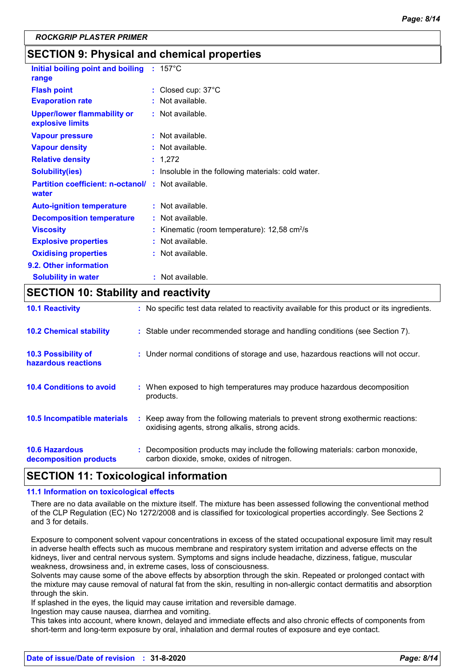### **SECTION 9: Physical and chemical properties**

| Initial boiling point and boiling : 157°C<br>range     |    |                                                          |
|--------------------------------------------------------|----|----------------------------------------------------------|
| <b>Flash point</b>                                     | ÷. | Closed cup: 37°C                                         |
| <b>Evaporation rate</b>                                |    | Not available.                                           |
| <b>Upper/lower flammability or</b><br>explosive limits |    | Not available.                                           |
| <b>Vapour pressure</b>                                 |    | Not available.                                           |
| <b>Vapour density</b>                                  |    | Not available.                                           |
| <b>Relative density</b>                                | ÷  | 1,272                                                    |
| <b>Solubility(ies)</b>                                 |    | Insoluble in the following materials: cold water.        |
| <b>Partition coefficient: n-octanol/</b><br>water      |    | : Not available.                                         |
| <b>Auto-ignition temperature</b>                       |    | $:$ Not available.                                       |
| <b>Decomposition temperature</b>                       |    | $:$ Not available.                                       |
| <b>Viscosity</b>                                       |    | Kinematic (room temperature): $12,58$ cm <sup>2</sup> /s |
| <b>Explosive properties</b>                            |    | $:$ Not available.                                       |
| <b>Oxidising properties</b>                            |    | $:$ Not available.                                       |
| 9.2. Other information                                 |    |                                                          |
| <b>Solubility in water</b>                             |    | : Not available.                                         |

### **SECTION 10: Stability and reactivity**

| <b>10.1 Reactivity</b>                            | : No specific test data related to reactivity available for this product or its ingredients.                                        |
|---------------------------------------------------|-------------------------------------------------------------------------------------------------------------------------------------|
| <b>10.2 Chemical stability</b>                    | : Stable under recommended storage and handling conditions (see Section 7).                                                         |
| <b>10.3 Possibility of</b><br>hazardous reactions | : Under normal conditions of storage and use, hazardous reactions will not occur.                                                   |
| <b>10.4 Conditions to avoid</b>                   | : When exposed to high temperatures may produce hazardous decomposition<br>products.                                                |
| <b>10.5 Incompatible materials</b>                | : Keep away from the following materials to prevent strong exothermic reactions:<br>oxidising agents, strong alkalis, strong acids. |
| <b>10.6 Hazardous</b><br>decomposition products   | Decomposition products may include the following materials: carbon monoxide,<br>carbon dioxide, smoke, oxides of nitrogen.          |

### **SECTION 11: Toxicological information**

### **11.1 Information on toxicological effects**

There are no data available on the mixture itself. The mixture has been assessed following the conventional method of the CLP Regulation (EC) No 1272/2008 and is classified for toxicological properties accordingly. See Sections 2 and 3 for details.

Exposure to component solvent vapour concentrations in excess of the stated occupational exposure limit may result in adverse health effects such as mucous membrane and respiratory system irritation and adverse effects on the kidneys, liver and central nervous system. Symptoms and signs include headache, dizziness, fatigue, muscular weakness, drowsiness and, in extreme cases, loss of consciousness.

Solvents may cause some of the above effects by absorption through the skin. Repeated or prolonged contact with the mixture may cause removal of natural fat from the skin, resulting in non-allergic contact dermatitis and absorption through the skin.

If splashed in the eyes, the liquid may cause irritation and reversible damage.

Ingestion may cause nausea, diarrhea and vomiting.

This takes into account, where known, delayed and immediate effects and also chronic effects of components from short-term and long-term exposure by oral, inhalation and dermal routes of exposure and eye contact.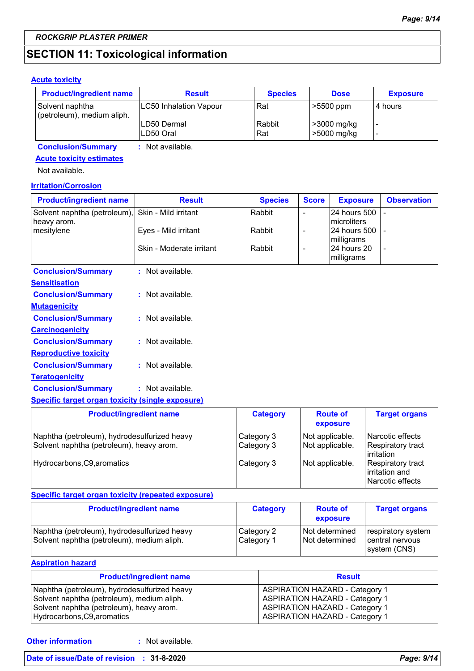### **SECTION 11: Toxicological information**

### **Acute toxicity**

| <b>Product/ingredient name</b>                | <b>Result</b>              | <b>Species</b> | <b>Dose</b>                | <b>Exposure</b> |
|-----------------------------------------------|----------------------------|----------------|----------------------------|-----------------|
| Solvent naphtha<br>(petroleum), medium aliph. | LC50 Inhalation Vapour     | Rat            | $\geq 5500$ ppm            | I4 hours        |
|                                               | ILD50 Dermal<br>ILD50 Oral | Rabbit<br>Rat  | >3000 mg/kg<br>>5000 mg/kg |                 |

**Conclusion/Summary :** Not available.

### **Acute toxicity estimates**

Not available.

#### **Irritation/Corrosion**

| <b>Product/ingredient name</b>                                   | <b>Result</b>            | <b>Species</b> | <b>Score</b> | <b>Exposure</b>                       | <b>Observation</b> |
|------------------------------------------------------------------|--------------------------|----------------|--------------|---------------------------------------|--------------------|
| Solvent naphtha (petroleum), Skin - Mild irritant<br>heavy arom. |                          | Rabbit         |              | 24 hours 500 -<br><b>Imicroliters</b> |                    |
| mesitylene                                                       | Eyes - Mild irritant     | Rabbit         |              | 124 hours 500 1 -<br>milligrams       |                    |
|                                                                  | Skin - Moderate irritant | Rabbit         |              | 24 hours 20<br>milligrams             |                    |
| <b>Conclusion/Summary</b>                                        | Not available.           |                |              |                                       |                    |

| Sensitisation                |                  |
|------------------------------|------------------|
| <b>Conclusion/Summary</b>    | : Not available. |
| <u>Mutagenicity</u>          |                  |
| <b>Conclusion/Summary</b>    | : Not available. |
| <b>Carcinogenicity</b>       |                  |
| <b>Conclusion/Summary</b>    | : Not available. |
| <b>Reproductive toxicity</b> |                  |
| <b>Conclusion/Summary</b>    | : Not available. |
| Teratogenicity               |                  |
| <b>Conclusion/Summary</b>    | : Not available. |
|                              |                  |

### **Specific target organ toxicity (single exposure)**

| <b>Product/ingredient name</b>                                                           | <b>Category</b>          | <b>Route of</b><br>exposure        | <b>Target organs</b>                                           |
|------------------------------------------------------------------------------------------|--------------------------|------------------------------------|----------------------------------------------------------------|
| Naphtha (petroleum), hydrodesulfurized heavy<br>Solvent naphtha (petroleum), heavy arom. | Category 3<br>Category 3 | Not applicable.<br>Not applicable. | Narcotic effects<br><b>Respiratory tract</b><br>irritation     |
| Hydrocarbons, C9, aromatics                                                              | Category 3               | Not applicable.                    | <b>Respiratory tract</b><br>irritation and<br>Narcotic effects |

### **Specific target organ toxicity (repeated exposure)**

| <b>Product/ingredient name</b>                                                             | <b>Category</b>          | <b>Route of</b><br>exposure      | <b>Target organs</b>                                  |
|--------------------------------------------------------------------------------------------|--------------------------|----------------------------------|-------------------------------------------------------|
| Naphtha (petroleum), hydrodesulfurized heavy<br>Solvent naphtha (petroleum), medium aliph. | Category 2<br>Category 1 | Not determined<br>Not determined | respiratory system<br>central nervous<br>system (CNS) |

### **Aspiration hazard**

| <b>Product/ingredient name</b>               | <b>Result</b>                         |
|----------------------------------------------|---------------------------------------|
| Naphtha (petroleum), hydrodesulfurized heavy | <b>ASPIRATION HAZARD - Category 1</b> |
| Solvent naphtha (petroleum), medium aliph.   | <b>ASPIRATION HAZARD - Category 1</b> |
| Solvent naphtha (petroleum), heavy arom.     | <b>ASPIRATION HAZARD - Category 1</b> |
| Hydrocarbons, C9, aromatics                  | <b>ASPIRATION HAZARD - Category 1</b> |

**Other information :**

: Not available.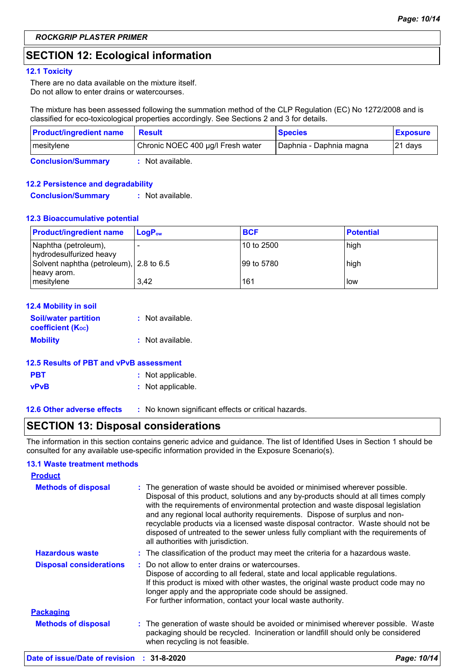### **SECTION 12: Ecological information**

#### **12.1 Toxicity**

There are no data available on the mixture itself. Do not allow to enter drains or watercourses.

The mixture has been assessed following the summation method of the CLP Regulation (EC) No 1272/2008 and is classified for eco-toxicological properties accordingly. See Sections 2 and 3 for details.

| <b>Product/ingredient name</b> | Result                            | <b>Species</b>          | <b>Exposure</b> |
|--------------------------------|-----------------------------------|-------------------------|-----------------|
| mesitylene                     | Chronic NOEC 400 µg/l Fresh water | Daphnia - Daphnia magna | 121 davs        |
| <b>Conclusion/Summary</b>      | Not available.                    |                         |                 |

### **12.2 Persistence and degradability**

**Conclusion/Summary :** Not available.

#### **12.3 Bioaccumulative potential**

| <b>Product/ingredient name</b>                         | $LoaPow$ | <b>BCF</b>  | <b>Potential</b> |
|--------------------------------------------------------|----------|-------------|------------------|
| Naphtha (petroleum),<br>hydrodesulfurized heavy        |          | 110 to 2500 | high             |
| Solvent naphtha (petroleum), 2.8 to 6.5<br>heavy arom. |          | 199 to 5780 | high             |
| mesitylene                                             | 3.42     | 161         | low              |

| <b>12.4 Mobility in soil</b>                                  |                  |
|---------------------------------------------------------------|------------------|
| <b>Soil/water partition</b><br>coefficient (K <sub>oc</sub> ) | : Not available. |
| <b>Mobility</b>                                               | : Not available. |
|                                                               |                  |

#### **12.5 Results of PBT and vPvB assessment**

| <b>PBT</b>  | : Not applicable. |
|-------------|-------------------|
| <b>vPvB</b> | : Not applicable. |

**12.6 Other adverse effects** : No known significant effects or critical hazards.

### **SECTION 13: Disposal considerations**

The information in this section contains generic advice and guidance. The list of Identified Uses in Section 1 should be consulted for any available use-specific information provided in the Exposure Scenario(s).

#### **13.1 Waste treatment methods**

| <b>Product</b>                 |                                                                                                                                                                                                                                                                                                                                                                                                                                                                                                                                                      |
|--------------------------------|------------------------------------------------------------------------------------------------------------------------------------------------------------------------------------------------------------------------------------------------------------------------------------------------------------------------------------------------------------------------------------------------------------------------------------------------------------------------------------------------------------------------------------------------------|
| <b>Methods of disposal</b>     | : The generation of waste should be avoided or minimised wherever possible.<br>Disposal of this product, solutions and any by-products should at all times comply<br>with the requirements of environmental protection and waste disposal legislation<br>and any regional local authority requirements. Dispose of surplus and non-<br>recyclable products via a licensed waste disposal contractor. Waste should not be<br>disposed of untreated to the sewer unless fully compliant with the requirements of<br>all authorities with jurisdiction. |
| <b>Hazardous waste</b>         | : The classification of the product may meet the criteria for a hazardous waste.                                                                                                                                                                                                                                                                                                                                                                                                                                                                     |
| <b>Disposal considerations</b> | $\pm$ Do not allow to enter drains or watercourses.<br>Dispose of according to all federal, state and local applicable regulations.<br>If this product is mixed with other wastes, the original waste product code may no<br>longer apply and the appropriate code should be assigned.<br>For further information, contact your local waste authority.                                                                                                                                                                                               |
| <b>Packaging</b>               |                                                                                                                                                                                                                                                                                                                                                                                                                                                                                                                                                      |
| <b>Methods of disposal</b>     | : The generation of waste should be avoided or minimised wherever possible. Waste<br>packaging should be recycled. Incineration or landfill should only be considered<br>when recycling is not feasible.                                                                                                                                                                                                                                                                                                                                             |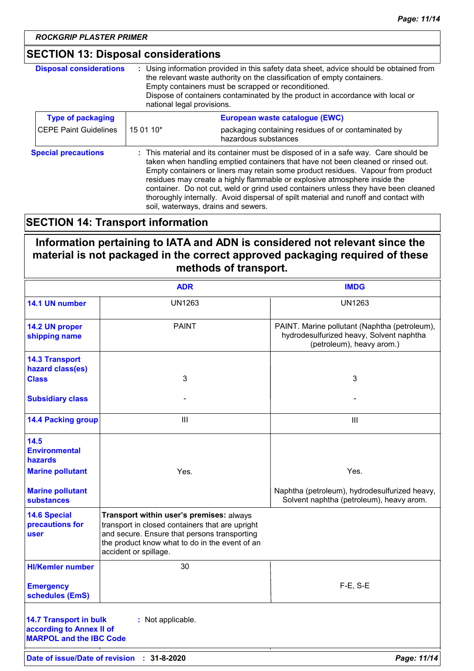### **SECTION 13: Disposal considerations**

| <b>Disposal considerations</b> | : Using information provided in this safety data sheet, advice should be obtained from<br>the relevant waste authority on the classification of empty containers.<br>Empty containers must be scrapped or reconditioned.<br>Dispose of containers contaminated by the product in accordance with local or<br>national legal provisions.                                                                                                                                                                                                                       |                                                                             |
|--------------------------------|---------------------------------------------------------------------------------------------------------------------------------------------------------------------------------------------------------------------------------------------------------------------------------------------------------------------------------------------------------------------------------------------------------------------------------------------------------------------------------------------------------------------------------------------------------------|-----------------------------------------------------------------------------|
| <b>Type of packaging</b>       |                                                                                                                                                                                                                                                                                                                                                                                                                                                                                                                                                               | European waste catalogue (EWC)                                              |
| <b>CEPE Paint Guidelines</b>   | 15 01 10*                                                                                                                                                                                                                                                                                                                                                                                                                                                                                                                                                     | packaging containing residues of or contaminated by<br>hazardous substances |
| <b>Special precautions</b>     | : This material and its container must be disposed of in a safe way. Care should be<br>taken when handling emptied containers that have not been cleaned or rinsed out.<br>Empty containers or liners may retain some product residues. Vapour from product<br>residues may create a highly flammable or explosive atmosphere inside the<br>container. Do not cut, weld or grind used containers unless they have been cleaned<br>thoroughly internally. Avoid dispersal of spilt material and runoff and contact with<br>soil, waterways, drains and sewers. |                                                                             |

### **SECTION 14: Transport information**

**Information pertaining to IATA and ADN is considered not relevant since the material is not packaged in the correct approved packaging required of these methods of transport.**

|                                                                                             | <b>ADR</b>                                                                                                                                                                                                             | <b>IMDG</b>                                                                                                            |
|---------------------------------------------------------------------------------------------|------------------------------------------------------------------------------------------------------------------------------------------------------------------------------------------------------------------------|------------------------------------------------------------------------------------------------------------------------|
| 14.1 UN number                                                                              | <b>UN1263</b>                                                                                                                                                                                                          | <b>UN1263</b>                                                                                                          |
| 14.2 UN proper<br>shipping name                                                             | <b>PAINT</b>                                                                                                                                                                                                           | PAINT. Marine pollutant (Naphtha (petroleum),<br>hydrodesulfurized heavy, Solvent naphtha<br>(petroleum), heavy arom.) |
| <b>14.3 Transport</b><br>hazard class(es)                                                   |                                                                                                                                                                                                                        |                                                                                                                        |
| <b>Class</b>                                                                                | 3                                                                                                                                                                                                                      | 3                                                                                                                      |
| <b>Subsidiary class</b>                                                                     |                                                                                                                                                                                                                        |                                                                                                                        |
| <b>14.4 Packing group</b>                                                                   | III                                                                                                                                                                                                                    | III                                                                                                                    |
| 14.5<br><b>Environmental</b><br><b>hazards</b>                                              |                                                                                                                                                                                                                        |                                                                                                                        |
| <b>Marine pollutant</b>                                                                     | Yes.                                                                                                                                                                                                                   | Yes.                                                                                                                   |
| <b>Marine pollutant</b><br>substances                                                       |                                                                                                                                                                                                                        | Naphtha (petroleum), hydrodesulfurized heavy,<br>Solvent naphtha (petroleum), heavy arom.                              |
| <b>14.6 Special</b><br>precautions for<br>user                                              | Transport within user's premises: always<br>transport in closed containers that are upright<br>and secure. Ensure that persons transporting<br>the product know what to do in the event of an<br>accident or spillage. |                                                                                                                        |
| <b>HI/Kemler number</b>                                                                     | 30                                                                                                                                                                                                                     |                                                                                                                        |
| <b>Emergency</b><br>schedules (EmS)                                                         |                                                                                                                                                                                                                        | $F-E$ , S-E                                                                                                            |
| <b>14.7 Transport in bulk</b><br>according to Annex II of<br><b>MARPOL and the IBC Code</b> | : Not applicable.                                                                                                                                                                                                      |                                                                                                                        |
|                                                                                             | Date of issue/Date of revision : 31-8-2020                                                                                                                                                                             | Page: 11/14                                                                                                            |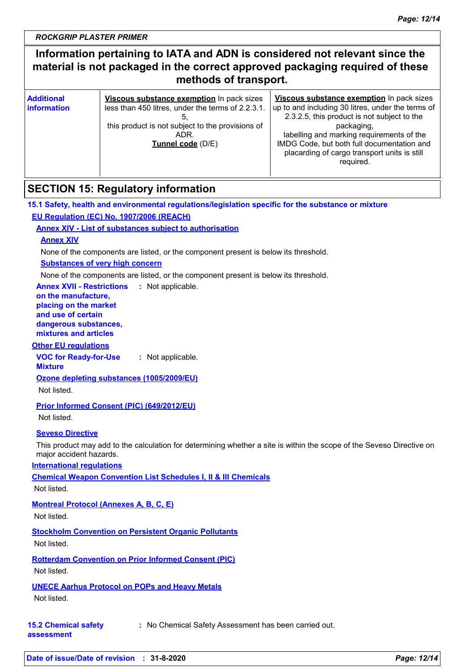### **Information pertaining to IATA and ADN is considered not relevant since the material is not packaged in the correct approved packaging required of these methods of transport.**

| <b>Additional</b><br>Viscous substance exemption In pack sizes<br><b>linformation</b><br>less than 450 litres, under the terms of 2.2.3.1.<br>this product is not subject to the provisions of<br>ADR.<br>Tunnel code (D/E) | Viscous substance exemption In pack sizes<br>up to and including 30 litres, under the terms of<br>2.3.2.5, this product is not subject to the<br>packaging,<br>labelling and marking requirements of the<br>IMDG Code, but both full documentation and<br>placarding of cargo transport units is still<br>required. |  |
|-----------------------------------------------------------------------------------------------------------------------------------------------------------------------------------------------------------------------------|---------------------------------------------------------------------------------------------------------------------------------------------------------------------------------------------------------------------------------------------------------------------------------------------------------------------|--|
|-----------------------------------------------------------------------------------------------------------------------------------------------------------------------------------------------------------------------------|---------------------------------------------------------------------------------------------------------------------------------------------------------------------------------------------------------------------------------------------------------------------------------------------------------------------|--|

### **SECTION 15: Regulatory information**

**15.1 Safety, health and environmental regulations/legislation specific for the substance or mixture EU Regulation (EC) No. 1907/2006 (REACH)**

### **Annex XIV - List of substances subject to authorisation**

### **Annex XIV**

None of the components are listed, or the component present is below its threshold.

#### **Substances of very high concern**

None of the components are listed, or the component present is below its threshold.

**Annex XVII - Restrictions** : Not applicable.

#### **on the manufacture, placing on the market and use of certain dangerous substances,**

**mixtures and articles**

### **Other EU regulations**

**VOC for Ready-for-Use :** Not applicable.

**Mixture**

**Ozone depleting substances (1005/2009/EU)**

Not listed.

### **Prior Informed Consent (PIC) (649/2012/EU)**

Not listed.

### **Seveso Directive**

This product may add to the calculation for determining whether a site is within the scope of the Seveso Directive on major accident hazards.

### **International regulations**

**Chemical Weapon Convention List Schedules I, II & III Chemicals**

Not listed.

### **Montreal Protocol (Annexes A, B, C, E)**

Not listed.

### **Stockholm Convention on Persistent Organic Pollutants**

Not listed.

### **Rotterdam Convention on Prior Informed Consent (PIC)** Not listed.

### **UNECE Aarhus Protocol on POPs and Heavy Metals**

Not listed.

#### **15.2 Chemical safety :** No Chemical Safety Assessment has been carried out.

**assessment**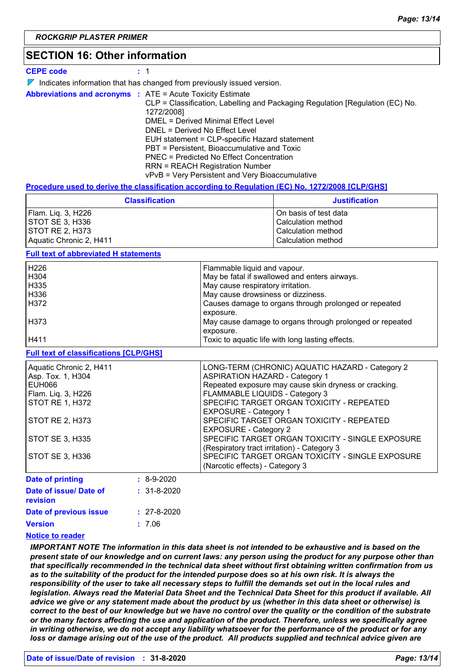### **SECTION 16: Other information**

**CEPE code :** 1

 $\nabla$  Indicates information that has changed from previously issued version.

**Abbreviations and acronyms :** ATE = Acute Toxicity Estimate CLP = Classification, Labelling and Packaging Regulation [Regulation (EC) No. 1272/2008] DMEL = Derived Minimal Effect Level DNEL = Derived No Effect Level EUH statement = CLP-specific Hazard statement PBT = Persistent, Bioaccumulative and Toxic PNEC = Predicted No Effect Concentration RRN = REACH Registration Number vPvB = Very Persistent and Very Bioaccumulative

#### **Procedure used to derive the classification according to Regulation (EC) No. 1272/2008 [CLP/GHS]**

| <b>Classification</b>   | <b>Justification</b>  |
|-------------------------|-----------------------|
| Flam. Lig. 3, H226      | On basis of test data |
| STOT SE 3, H336         | Calculation method    |
| ISTOT RE 2. H373        | Calculation method    |
| Aquatic Chronic 2, H411 | Calculation method    |

#### **Full text of abbreviated H statements**

| H <sub>226</sub> | Flammable liquid and vapour.                             |
|------------------|----------------------------------------------------------|
| H <sub>304</sub> | May be fatal if swallowed and enters airways.            |
| H <sub>335</sub> | May cause respiratory irritation.                        |
| H336             | May cause drowsiness or dizziness.                       |
| H372             | Causes damage to organs through prolonged or repeated    |
|                  | exposure.                                                |
| H373             | May cause damage to organs through prolonged or repeated |
|                  | exposure.                                                |
| H411             | Toxic to aquatic life with long lasting effects.         |

#### **Full text of classifications [CLP/GHS]**

| Aquatic Chronic 2, H411 | LONG-TERM (CHRONIC) AQUATIC HAZARD - Category 2       |
|-------------------------|-------------------------------------------------------|
| Asp. Tox. 1, H304       | <b>ASPIRATION HAZARD - Category 1</b>                 |
| EUH066                  | Repeated exposure may cause skin dryness or cracking. |
| Flam. Liq. 3, H226      | FLAMMABLE LIQUIDS - Category 3                        |
| STOT RE 1, H372         | SPECIFIC TARGET ORGAN TOXICITY - REPEATED             |
|                         | <b>EXPOSURE - Category 1</b>                          |
| STOT RE 2, H373         | SPECIFIC TARGET ORGAN TOXICITY - REPEATED             |
|                         | <b>EXPOSURE - Category 2</b>                          |
| STOT SE 3, H335         | SPECIFIC TARGET ORGAN TOXICITY - SINGLE EXPOSURE      |
|                         | (Respiratory tract irritation) - Category 3           |
| STOT SE 3, H336         | SPECIFIC TARGET ORGAN TOXICITY - SINGLE EXPOSURE      |
|                         | (Narcotic effects) - Category 3                       |
| <b>Date of printing</b> | $: 8-9-2020$                                          |

| Date of issue/ Date of<br>revision | $: 31 - 8 - 2020$ |
|------------------------------------|-------------------|
| Date of previous issue             | $: 27 - 8 - 2020$ |
| <b>Version</b>                     | : 7.06            |
|                                    |                   |

#### **Notice to reader**

*IMPORTANT NOTE The information in this data sheet is not intended to be exhaustive and is based on the present state of our knowledge and on current laws: any person using the product for any purpose other than that specifically recommended in the technical data sheet without first obtaining written confirmation from us as to the suitability of the product for the intended purpose does so at his own risk. It is always the responsibility of the user to take all necessary steps to fulfill the demands set out in the local rules and legislation. Always read the Material Data Sheet and the Technical Data Sheet for this product if available. All advice we give or any statement made about the product by us (whether in this data sheet or otherwise) is correct to the best of our knowledge but we have no control over the quality or the condition of the substrate or the many factors affecting the use and application of the product. Therefore, unless we specifically agree in writing otherwise, we do not accept any liability whatsoever for the performance of the product or for any loss or damage arising out of the use of the product. All products supplied and technical advice given are*